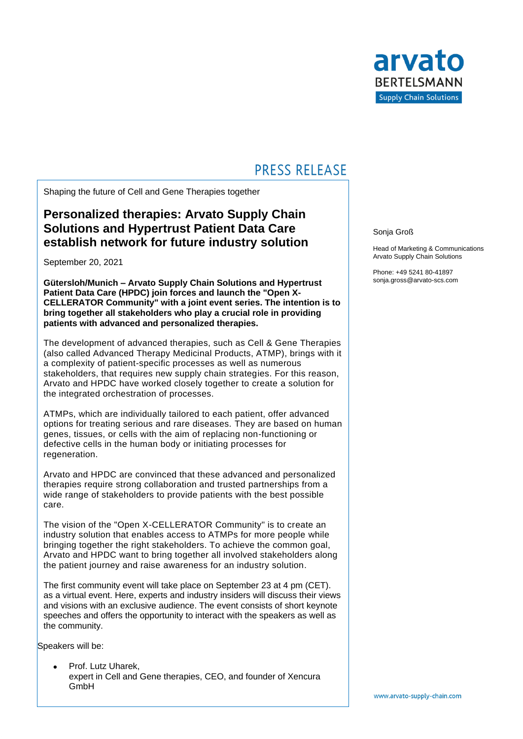

## **PRESS RELEASE**

Shaping the future of Cell and Gene Therapies together

### **Personalized therapies: Arvato Supply Chain Solutions and Hypertrust Patient Data Care establish network for future industry solution**

September 20, 2021

**Gütersloh/Munich – Arvato Supply Chain Solutions and Hypertrust Patient Data Care (HPDC) join forces and launch the "Open X-CELLERATOR Community" with a joint event series. The intention is to bring together all stakeholders who play a crucial role in providing patients with advanced and personalized therapies.**

The development of advanced therapies, such as Cell & Gene Therapies (also called Advanced Therapy Medicinal Products, ATMP), brings with it a complexity of patient-specific processes as well as numerous stakeholders, that requires new supply chain strategies. For this reason, Arvato and HPDC have worked closely together to create a solution for the integrated orchestration of processes.

ATMPs, which are individually tailored to each patient, offer advanced options for treating serious and rare diseases. They are based on human genes, tissues, or cells with the aim of replacing non-functioning or defective cells in the human body or initiating processes for regeneration.

Arvato and HPDC are convinced that these advanced and personalized therapies require strong collaboration and trusted partnerships from a wide range of stakeholders to provide patients with the best possible care.

The vision of the "Open X-CELLERATOR Community" is to create an industry solution that enables access to ATMPs for more people while bringing together the right stakeholders. To achieve the common goal, Arvato and HPDC want to bring together all involved stakeholders along the patient journey and raise awareness for an industry solution.

The first community event will take place on September 23 at 4 pm (CET). as a virtual event. Here, experts and industry insiders will discuss their views and visions with an exclusive audience. The event consists of short keynote speeches and offers the opportunity to interact with the speakers as well as the community.

Speakers will be:

• Prof. Lutz Uharek, expert in Cell and Gene therapies, CEO, and founder of Xencura **GmbH** 

Sonja Groß

Head of Marketing & Communications Arvato Supply Chain Solutions

Phone: +49 5241 80-41897 sonja.gross@arvato-scs.com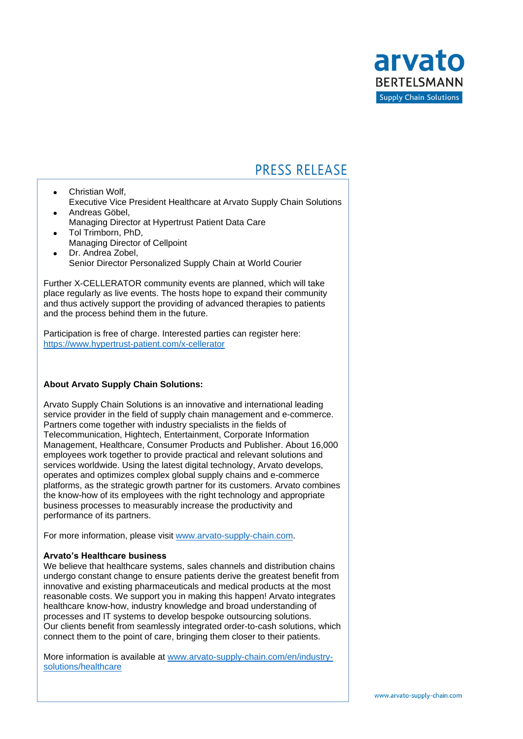

# **PRESS RELEASE**

- Christian Wolf, Executive Vice President Healthcare at Arvato Supply Chain Solutions • Andreas Göbel,
- Managing Director at Hypertrust Patient Data Care • Tol Trimborn, PhD,
- Managing Director of Cellpoint
- Dr. Andrea Zobel, Senior Director Personalized Supply Chain at World Courier

Further X-CELLERATOR community events are planned, which will take place regularly as live events. The hosts hope to expand their community and thus actively support the providing of advanced therapies to patients and the process behind them in the future.

Participation is free of charge. Interested parties can register here: <https://www.hypertrust-patient.com/x-cellerator>

### **About Arvato Supply Chain Solutions:**

Arvato Supply Chain Solutions is an innovative and international leading service provider in the field of supply chain management and e-commerce. Partners come together with industry specialists in the fields of Telecommunication, Hightech, Entertainment, Corporate Information Management, Healthcare, Consumer Products and Publisher. About 16,000 employees work together to provide practical and relevant solutions and services worldwide. Using the latest digital technology, Arvato develops, operates and optimizes complex global supply chains and e-commerce platforms, as the strategic growth partner for its customers. Arvato combines the know-how of its employees with the right technology and appropriate business processes to measurably increase the productivity and performance of its partners.

For more information, please visit [www.arvato-supply-chain.com.](https://arvatoscs.sharepoint.com/teams/CellGeneTherapyHypertrustArvatoPartnership/Shared%20Documents/Event/Pressemitteilung/www.arvato-supply-chain.com)

#### **Arvato's Healthcare business**

We believe that healthcare systems, sales channels and distribution chains undergo constant change to ensure patients derive the greatest benefit from innovative and existing pharmaceuticals and medical products at the most reasonable costs. We support you in making this happen! Arvato integrates healthcare know-how, industry knowledge and broad understanding of processes and IT systems to develop bespoke outsourcing solutions. Our clients benefit from seamlessly integrated order-to-cash solutions, which connect them to the point of care, bringing them closer to their patients.

More information is available at [www.arvato-supply-chain.com/en/industry](https://arvato-supply-chain.com/en/industry-solutions/healthcare)[solutions/healthcare](https://arvato-supply-chain.com/en/industry-solutions/healthcare)